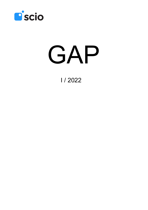

# GAP

I / 2022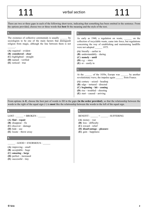There are two or three gaps in each of the following short texts, indicating that something has been omitted in the sentence. From the options provided, choose two or three words that **best** fit the meaning and the style of the text.

#### The existence of collective ceremonials is usually by sociologists to be one of the main factors that distinguish religion from magic, although the line between them is not  $\mathcal{L}=\mathcal{L}$ **(A)** required – evident **(B) considered – clear (C)** highlighted – straight **(D)** named – verified **(E)** noticed – true **2.**  As early as 1940, a regulation on waste, on the collection of recyclable waste, came into force, but regulations concerning the way of establishing and maintaining landfills were not adopted 1975. **(A)** literally – earlier in **(B)** understandably – during **(C) namely – until (D)** e.g. – since **(E)** or – easily in **3.**  At the of the 1830s, Europe was by another revolutionary wave, the impulse again from France. **(A)** century – seized – heading **(B)** edge – tortured – directed **(C) beginning – hit – coming (D)** rise – troubled – shooting **(E)** start – caused – arriving

From options **A–E**, choose the best pair of words to fill in the gaps (**in the order provided**), so that the relationship between the words to the right of the equal sign (=) is **most** like the relationship between the words to the left of the equal sign.

#### **4.**

 $LOST: = BROKEN:$ 

#### **(A) find – repair**

- **(B)** disappear fix
- **(C)** discover damage
- **(D)** hide use
- **(E)** locate throw away

#### **5.**

#### $\therefore$  GOOD = ENORMOUS :

- **(A)** improving small
- **(B)** acceptable huge
- **(C) amazing large**
- **(D)** perfect increased
- **(E)** successful tiny

# **6.**

BENEFIT :  $=$  : SUFFERING

- **(A)** money war
- **(B)** loss difficulty
- **(C)** reward relief
- **(D) disadvantage pleasure**
- **(E)** gain happiness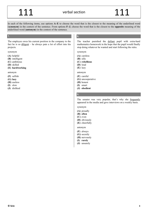In each of the following items, use options **A–E** to choose the word that is the closest to the meaning of the underlined word (**synonym**) in the context of the sentence. From options **F–J**, choose the word that is the closest to the **opposite** meaning of the underlined word (**antonym**) in the context of the sentence.

The employee owes his current position in the company to the fact he is so diligent – he always puts a lot of effort into his projects.

#### synonym

- **(A)** helpful
- **(B)** intelligent
- **(C)** ambitious
- **(D)** skilled
- **(E) hardworking**

antonym

- **(F)** selfish
- **(G) lazy**
- **(H)** useless
- **(I)** slow
- **(J)** disliked

#### **8.**

The teacher punished the defiant pupil with extra-hard mathematics homework in the hope that the pupil would finally stop doing whatever he wanted and start following the rules.

synonym

- **(A)** careless
- **(B)** silly
- **(C) rebellious**
- **(D)** loud
- **(E)** lazy

antonym

- **(F)** careful
- **(G)** uncooperative
- **(H)** honest
- **(I)** smart
- **(J) obedient**

#### **9.**

The senator was very popular, that's why she frequently appeared in the media and gave interviews on a weekly basis.

synonym

- **(A)** proudly
- **(B) often**
- **(C)** even
- **(D)** obviously
- **(E)** cheerfully

antonym

- **(F)** always
- **(G)** secretly
- **(H)** nervously
- **(I) rarely**
- **(J)** unsurely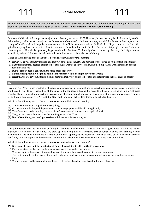Each of the following texts contains one part whose meaning **does not correspond to** with the overall meaning of the text. For each item, choose the option with the part of the text which **is not consistent with its overall meaning**.

#### **10.**

Professor Yudkin identified sugar as a major cause of obesity as early as 1972. However, he was instantly labelled as a lobbyist of the dairy industry and his work was rejected as "a mountain of nonsense". Nutritionists simply decided that fat rather than sugar was the enemy of health, and their hypothesis was anchored in official recommendations. In 1980, the US government issued the first guidelines laying down the need to reduce the amount of fat and cholesterol in the diet. But the less fat people consumed, the more obese they were. Nutritionists gradually began to admit that Professor Yudkin might have been wrong. Recently, the US government also silently admitted that sweet drinks rather than cholesterol were the real cause of obesity.

Which of the following parts of the text is **not consistent** with its overall meaning?

- **(A)** However, he was instantly labelled as a lobbyist of the dairy industry and his work was rejected as "a mountain of nonsense".
- **(B)** Nutritionists simply decided that fat rather than sugar was the enemy of health, and their hypothesis was anchored in official recommendations.
- **(C)** But the less fat people consumed, the more obese they were.
- **(D) Nutritionists gradually began to admit that Professor Yudkin might have been wrong.**
- **(E)** Recently, the US government also silently admitted that sweet drinks rather than cholesterol were the real cause of obesity.

#### **11.**

Living in New York brings constant challenges. You experience huge competition in everything. You subconsciously compare your abilities and your life story with others all the time. On the contrary, in Prague it is possible to be an average person while still living happily. There's no need to do anything because a lot of people around you are not exceptional at all. Yes, you can meet a famous writer both in Prague and New York. But in New York, you don't get restless, thinking he is better than you.

Which of the following parts of the text is **not consistent** with its overall meaning?

- **(A)** You experience huge competition in everything.
- **(B)** On the contrary, in Prague it is possible to be an average person while still living happily.
- **(C)** There's no need to do anything because a lot of people around you are not exceptional at all.
- **(D)** Yes, you can meet a famous writer both in Prague and New York.
- **(E) But in New York, you don't get restless, thinking he is better than you.**

#### **12.**

It is quite obvious that the institution of family has nothing to offer in the 21st century. Psychologists agree that the first human experiences are formed in our family. We grow up in it, being part of a spreading tree of human relations and learning to form a community. The fruits of our lives, the results of our work, upbringing and aspirations, are conditioned by what we have learned in our family. We find support and background in our family, celebrating the achievements and milestones of our lives.

Which of the following parts of the text is **not consistent** with its overall meaning?

#### **(A) It is quite obvious that the institution of family has nothing to offer in the 21st century.**

- **(B)** Psychologists agree that the first human experiences are formed in our family.
- **(C)** We grow up in it, being part of a spreading tree of human relations and learning to form a community.
- **(D)** The fruits of our lives, the results of our work, upbringing and aspirations, are conditioned by what we have learned in our family.
- **(E)** We find support and background in our family, celebrating the achievements and milestones of our lives.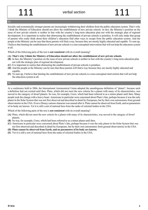#### **13.**

Socially and economically stronger parents are increasingly withdrawing their children from the public education system. That's why I think the Ministry of Education should not allow the establishment of new private schools. In fact, the Ministry's position on the issue of new private schools is neither in line with the country's long-term education plan nor with the strategic plan of regional development. It is important to realise that obstructing the establishment of private schools is pointless. It will only make that group of parents who really think about their children's education find other ways to escape from the public education system. And the people at the Ministry can be sure that these parents will find a way, because they are mostly highly educated and capable. To sum up, I believe that limiting the establishment of new private schools is a non-conceptual intervention that will not help the education system at all.

Which of the following parts of the text is **not consistent** with its overall meaning?

- **(A) That's why I think the Ministry of Education should not allow the establishment of new private schools.**
- **(B)** In fact, the Ministry's position on the issue of new private schools is neither in line with the country's long-term education plan nor with the strategic plan of regional development.
- **(C)** It is important to realise that obstructing the establishment of private schools is pointless.
- **(D)** And the people at the Ministry can be sure that these parents will find a way because they are mostly highly educated and capable.
- **(E)** To sum up, I believe that limiting the establishment of new private schools is a non-conceptual intervention that will not help the education system at all.

#### **14.**

At a conference held in 2006, the International Astronomical Union adopted the unambiguous definition of "planet", because such a definition had not existed until then. Pluto, which did not meet the new criteria for a planet with many of its characteristics, was moved to the category of dwarf planets. So was, for example, Ceres, which had been referred to as a minor planet until then. Many people took the change with a heavy heart. Americans in particular were concerned about Pluto's fate, perhaps because it was the only planet in the Solar System that was not first observed and described in detail by Europeans, but by their own astronomers from ground observatories in the USA. Even a Disney cartoon character was named after it. Pluto cannot be observed from Earth, and no parameters of its body are known. Yet it is still a sort of national hero from the ranks of celestial bodies in the USA.

Which of the following parts of the text is **not consistent** with its overall meaning?

- **(A)** Pluto, which did not meet the new criteria for a planet with many of its characteristics, was moved to the category of dwarf planets.
- **(B)** So was, for example, Ceres, which had been referred to as a minor planet until then.
- **(C)** Americans in particular were concerned about Pluto's fate, perhaps because it was the only planet in the Solar System that was not first observed and described in detail by Europeans, but by their own astronomers from ground observatories in the USA.
- **(D) Pluto cannot be observed from Earth, and no parameters of its body are known.**
- **(E)** Yet it is still a sort of national hero from the ranks of celestial bodies in the USA.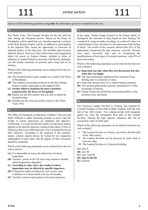Answer all the following questions using **only** the information given in or implied by the text.

#### **15.**

The Thirty Years' War brought Sweden for the first and last time among the European powers. Based on the Peace of Westphalia, which ended that war, Sweden acquired a territory in the Holy Roman Empire, which, in addition to participating in the Imperial Diet, meant the opportunity to intervene in imperial politics in the long term. The Swedish rulers became imperial princes. However, their indiscretion and exaggerated desire for power in Eastern Europe, whether in terms of influence in weaker Poland or encounter with Russia, ultimately cost the Nordic monarchy its position and a large part of its territory.

Which of the following statements can be inferred from the text with certainty?

- **(A)** The Swedish territory grew smaller as a result of the Peace of Westphalia.
- **(B)** The countries possessing territories in the Holy Roman Empire couldn't participate in the Imperial Diet.
- **(C) Sweden failed to maintain the power positions acquired after the Peace of Westphalia.**
- **(D)** Russia was the first country that was able to defeat the Swedish troops.
- **(E)** Sweden was the most successful country in the Thirty Years' War.

#### **16.**

The Office for Standards in Education, Children's Services and Skills (Ofsted) is under increasing pressure to prove that the results of school inspections are impartial and objective. Unofficially, it is believed that the results of inspections largely depend on the specific inspector coming to the school. Critics of Ofsted say that every tenth inspection visit is estimated to be not fully objective. According to the proposal of the teachers' unions, schools should always be visited by two inspectors independent of each other, and the degree of their consensus should be examined.

Which of the following statements can be inferred from the text with certainty?

- **(A)** It is impossible to ensure the objectivity of school inspections.
- **(B)** Teachers' unions in the UK have long wanted to abolish school inspections altogether.
- **(C) According to some views, the results of school inspections may be affected by specific inspectors.**
- **(D)** If inspectors make an inspection visit in pairs, their evaluation of a school tends to be less favourable.
- **(E)** Teachers' unions want teachers to become inspectors.

#### **17.**

In his study, Tomás Faragó focused on the human ability to distinguish the emotions of dogs based on their barking. He wondered if, using an audio recording, we could tell when it is a manifestation of joy and when it is an expression of the feeling of threat. The results of the research showed that 63% of the participants interpreted the dog reactions correctly. Women were more successful than men in recognising the manifestations of both types of recorded emotions, with 65% of them succeeding.

Which of the following statements can be inferred from the text with certainty?

- **(A) Dogs bark not only when they feel threatened, but also when they are happy.**
- **(B)** The male participants understood the meaning of dog barking only in a minority of cases.
- **(C)** Dogs bark because they try to imitate human emotions.
- **(D)** The research participants correctly identified 63% of the recordings of barking.
- **(E)** Tomás Faragó discovered that dog barking differs in the moment of joy and threat.

#### **18.**

The Classicist Laudon Pavilion in Veltrusy was inspired by a similar building in Prior Park in Bath, England, from the first half of the 18th century. Two column portals with triangular gables rise from the rectangular floor plan of the Laudon Pavilion, framing the high opposite entrances that can be accessed by stairs on both sides.

Which of the following statements can be inferred from the text with certainty?

- I. The Laudon Pavilion in Veltrusy was built in the first half of the 18th century.
- II. The Laudon Pavilion can be accessed by stairs from at least two sides.
- III. The Laudon Pavilion is a Classicist building.
- **(A)** only II
- **(B)** only III
- **(C)** only I and III
- **(D) only II and III**
- **(E)** all three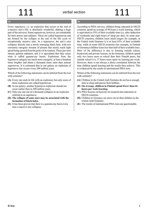**19.** 

Every supernova, i.e. an explosion that occurs at the end of a massive star's life, is absolutely wonderful, shaking a huge part of the universe. Some supernovae, however, are remarkable for their power and radiance. These are called hypernovae and are formed by the collapse at the end of the life cycle of exceptionally massive stars. In a hypernova, the star's core collapses directly into a newly emerging black hole, with two extremely energetic streams of plasma that nearly reach light speed being ejected from the poles of its rotation. These jets emit intense gamma radiation, and it is speculated that they cause what is called gamma-ray bursts. Explosions from the hypernova category are much more energetic, at least a hundred times brighter and about a thousand times rarer than normal supernovae. It is estimated that in our galaxy an explosion of hypernova size occurs every 200 million years.

Which of the following statements can be inferred from the text with certainty?

- **(A)** Every star ends its life with an explosion, but only some of these explosions are called hypernovae.
- **(B)** In our galaxy, another hypernova explosion should not occur earlier than in 200 million years.
- **(C)** Only one star out of a thousand collapses in an explosion referred to as supernova.
- **(D) The collapse of some stars may be associated with the formation of black holes.**
- **(E)** It has been proven that there is a gamma-ray burst every time a massive star collapses.

### **20.**

According to PISA surveys, children being educated in OECD countries spend an average of 44 hours a week learning, which is equivalent to 55% of their available time (i.e. after deduction of weekends and eight hours of sleep per day). In some non-OECD countries, children learn much longer; for example, in the United Arab Emirates it is at least 65% of their available time, while in some OECD countries (for example, in Finland or Germany) children learn less than half of their available time. Most of the difference is due to learning outside school, homework and private lessons. In the Emirates, children spend only two hours more at school than their Finnish peers, but outside school it is 17 hours more spent on learning per week. However, there is not always a direct correlation between the time children spend learning and the results they achieve. This is evidenced by the results in international PISA tests.

Which of the following statements can be inferred from the text with certainty?

- **(A)** Children in the United Arab Emirates do not have enough time to sleep and pursue their hobbies.
- **(B) On average, children in Finland spend fewer than 44 hours per week learning.**
- **(C)** PISA focuses exclusively on research into education in OECD countries.
- **(D)** Children in Germany are more clever than children in the United Arab Emirates.
- **(E)** The results of international PISA tests are questionable.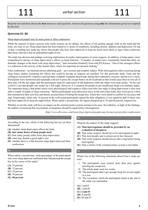Read the text and then choose the **best** answer to each question. Answer all questions using **only** the information given in or implied by the text.

### **QUESTIONS 21–26**

#### Sleep-deprived people may be more prone to false confessions

While the amount of sleep a person truly needs remains up for debate, the effects of not getting enough, both on the mind and the body, are clear to see. Sleep deprivation has been linked to a variety of conditions, including obesity, diabetes and depression. On top of that, a startling new study has shown that people who have been deprived of sleep are much more likely to sign a false confession than those who have had an undisturbed night of rest.

The study has obvious and perhaps worrying implications for police interrogation of crime suspects. In addition, it helps paint a more comprehensive picture of sleep deprivation's effects on brain function. "A number of studies have consistently found that there are dramatic changes in the brain with sleep deprivation," lead researcher Kimberly Fenn told IFLScience. "One of the strongest effects is a reduction in the activity of the frontal lobes, which are important for decision making."

False confessions – an innocent person admitting guilt – are a serious and complex subject. With interrogations often occurring during sleep hours, studies examining the effects this could be having on suspects are justified. For this particular study, Fenn and her colleagues recruited 88 volunteers and had them complete computer-based tasks during three laboratory sessions, spread over a week. Participants were monitored and repeatedly told not to press the escape button on the keyboard as that would cause them to lose all of their data. On the last night, half the participants slept for eight hours in lab bedrooms while the others were kept awake. "In the real world it's rare that people stay awake for a full night. However, it's common for people to get insufficient sleep over multiple nights. The important thing is that pretty much every physiological and cognitive effect seen after one night of sleep deprivation is also seen after a couple of nights of sleep restriction." Before participants were allowed to leave at the end of the study, they were given a form that summarized their activities and falsely accused them of hitting the escape key, which they were asked to confirm for accuracy and sign. Surprisingly, while only 18 percent of the well-rested participants signed the false allegation, it was signed by half of those who had been deprived of sleep the night before. When asked a second time, the figures bumped up to 39 and 68 percent, respectively.

Whether or not this study will have an impact on the criminal justice system remains to be seen. Nevertheless, in light of the findings, the authors recommend that assessments of sleepiness should be made before interrogations.

*(http://www.iflscience.com/brain/sleep-deprived-people-may-be-more-prone-false-confessions)* 

#### **21.**

According to the text, which of the following has not yet been determined?

- **(A)** whether sleep deprivation affects the body
- **(B) how many hours of sleep people need**
- **(C)** how many people suffer from sleep deprivation
- **(D)** what may disturb a good night's rest
- **(E)** whether there is a link between sleep deprivation and false confessions

#### **22.**

When asked a second time, what percentage of the participants who were sleep deprived confirmed they had pressed the escape key in the course of the study?

- **(A)** 18 percent
- **(B)** 32 percent
- **(C)** 39 percent
- **(D)** 50 percent
- **(E) 68 percent**

#### **23.**

What do the authors of the study suggest?

- **(A) That interrogations should be preceded by an evaluation of sleepiness.**
- **(B)** That crime suspects should never be interrogated at night.
- **(C)** That most people sent to prison are in fact innocent.
- **(D)** That crime suspects should always take a nap before being interrogated.
- **(E)** That a reform of the criminal justice system is inevitable.

#### **24.**

Which two of the following statements about Fenn's study are true?

- I. The participants were warned more than once against pressing the escape key.
- II. The whole study took two weeks.
- III. The participants didn't get enough sleep for several nights in a row.
- IV. The accusation which the participants faced at the end of the study was unfounded.
- **(A)** I and II
- **(B)** I and III
- **(C) I and IV**
- **(D)** II and III
- **(E)** III and IV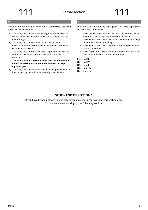#### **25.**

Which of the following statements best summarizes the main purpose of Fenn's study?

- **(A)** The study tried to show that getting insufficient sleep for several nights has the same effects as staying awake for one full night.
- **(B)** The study tried to determine the effects of sleep deprivation on the performance in computer-based tasks testing cognitive skills.
- **(C)** The study tried to prove that sleep deprivation affects the activity in the frontal lobe and the ability to make decisions.
- **(D) The study tried to determine whether the likelihood of a false confession is related to the amount of sleep a person gets.**
- **(E)** The study tried to show that most innocent people who are interrogated by the police are severely sleep deprived.

### **26.**

Which two of the following consequences of sleep deprivation are mentioned in the text?

- I. Sleep deprivation lessens the risk of serious health problems, such as high blood pressure or stroke.
- II. Sleep deprivation affects the area in the brain which plays a vital role in decision making.
- III. Sleep deprivation affects the probability of a person being accused of a crime.
- IV. Sleep deprivation makes people more prone to confess to acts which they have not in fact committed.
- **(A)** I and II
- **(B)** I and IV
- **(C)** II and III
- **(D) II and IV**
- **(E)** III and IV

# **STOP – END OF SECTION 1**

If you have finished before time is called, you may check your work on this section only. You may not start working on the following section!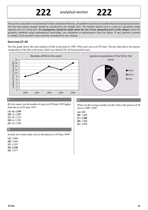The use of a calculator is not permitted! Unless indicated otherwise, all numbers used are real numbers based on the decimal system. All lines that appear straight should be considered to be straight lines. The number placed next to a part of a geometric shape indicates the size of that part. **No assumptions should be made about the size of any unmarked parts of the shapes.** Solve the geometry problems using mathematical knowledge, not estimation or measurement from the figure. If any question contains a variable, all its possible values must be considered for the solution.

## **QUESTIONS 27–29**

The line graph shows the total numbers of fish in the pond in 1990–1994, each year as of 30 June. The pie chart shows the species composition of the fish in the pond, which was identical for all the presented years.

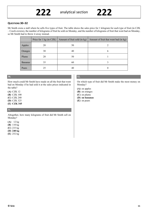### **QUESTIONS 30–32**

Mr Smith owns a stall where he sells five types of fruit. The table shows the sales price for 1 kilogram for each type of fruit (in CZK – Czech crowns), the number of kilograms of fruit he sold on Monday, and the number of kilograms of fruit that went bad on Monday, so Mr Smith had to throw it away instead.

|                | Price for $1 \text{ kg (in CZK)}$ | Amount of fruit sold (in kg) | Amount of fruit that went bad (in kg) |
|----------------|-----------------------------------|------------------------------|---------------------------------------|
| Apples         | 20                                | 50                           |                                       |
| Oranges        | 30                                | 40                           | b                                     |
| Plums          | 20                                | 50                           |                                       |
| <b>Bananas</b> | 35                                | 60                           |                                       |
| Pears          | 25                                | 40                           |                                       |

#### **30.**

How much could Mr Smith have made on all the fruit that went bad on Monday if he had sold it at the sales prices indicated in the table?

**(A)** CZK 12

**(B)** CZK 100

- **(C)** CZK 240
- **(D)** CZK 325
- **(E) CZK 345**

#### **31.**

Altogether, how many kilograms of fruit did Mr Smith sell on Monday?

**(A)** 12 kg

- **(B)** 110 kg
- **(C)** 233 kg
- **(D) 240 kg**
- **(E)** 252 kg

#### **32.**

On which type of fruit did Mr Smith make the most money on Monday?

- **(A)** on apples
- **(B)** on oranges
- **(C)** on plums
- **(D) on bananas**
- **(E)** on pears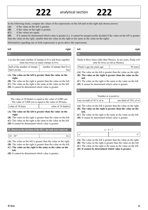In the following items, compare the values of the expressions on the left and on the right and choose answer **(A)** if the value on the left is greater,

**(B)** if the value on the right is greater,

**(C)** if the values are equal,

**(D)** if it cannot be determined which value is greater (i.e. it cannot be unequivocally decided if the value on the left is greater than the value on the right, smaller than the value on the right or the same as the value on the right).

**36.** 

**222** analytical section **222**

Information regarding one or both expressions is given above the expressions.

# **33.**

#### **left right**

Lea has the same number of stamps as Eve and Irene together. Irene has twice as many stamps as Eve.

| half of the number of stamps | number of stamps that Eve |
|------------------------------|---------------------------|
| that Lea has                 | has l                     |

#### **(A) The value on the left is greater than the value on the right.**

- **(B)** The value on the right is greater than the value on the left.
- **(C)** The value on the right is the same as the value on the left.
- **(D)** It cannot be determined which value is greater.

#### **34.**

The value of 30 thalers is equal to the value of 4,000 yen. The value of 3,000 yen is equal to the value of 20 kuna.

#### **(A) The value on the left is greater than the value on the right.**

- **(B)** The value on the right is greater than the value on the left.
- **(C)** The value on the right is the same as the value on the left.
- **(D)** It cannot be determined which value is greater.

#### **35. Based on the decision of the IEC, the task was removed.**

| $\sim$<br>. .<br>$\bullet$ |  |
|----------------------------|--|
|                            |  |

- **(A)** The value on the left is greater than the value on the right.
- **(B)** The value on the right is greater than the value on the left.
- **(C) The value on the right is the same as the value on the left.**
- **(D)** It cannot be determined which value is greater.

# **left right**

Paula is three times older than Monica. In ten years, Paula will only be twice as old as Monica.

| Paula's age ten years ago | 30 years |
|---------------------------|----------|
|                           |          |

**(A)** The value on the left is greater than the value on the right.

- **(B) The value on the right is greater than the value on the left.**
- **(C)** The value on the right is the same as the value on the left.
- **(D)** It cannot be determined which value is greater.

#### **37.**

#### Number *m* is positive.

| one seventh of 30 % of $m$ | one third of 70% of $m$ |
|----------------------------|-------------------------|
|                            |                         |

- **(A)** The value on the left is greater than the value on the right.
- **(B) The value on the right is greater than the value on the left.**
- **(C)** The value on the right is the same as the value on the left.
- **(D)** It cannot be determined which value is greater.

**38.** 

| $a - b = 7$ |  |
|-------------|--|
|             |  |
|             |  |

**(A)** The value on the left is greater than the value on the right.

- **(B)** The value on the right is greater than the value on the left.
- **(C)** The value on the right is the same as the value on the left.
- **(D) It cannot be determined which value is greater.**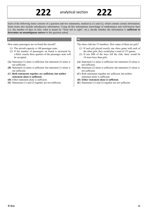#### Each of the following items consists of a question and two statements, marked as (1) and (2), which contain certain information. Some items also include introductory information. Using all this information, knowledge of mathematics and well-known facts (i.e. the number of days in July, what is meant by "from left to right", etc.), decide whether the information is **sufficient to determine an unambiguous answer** to the question asked.

#### **39.**

How many passengers are on board the aircraft?

- (1) The aircraft capacity is 160 passenger seats.
- (2) If the number of passengers on board is increased by a third, exactly three quarters of the passenger seats will be occupied.
- **(A)** Statement (1) alone is sufficient, but statement (2) alone is not sufficient.
- **(B)** Statement (2) alone is sufficient, but statement (1) alone is not sufficient.
- **(C) Both statements together are sufficient, but neither statement alone is sufficient.**
- **(D)** Either statement alone is sufficient.
- **(E)** Statements (1) and (2) together are not sufficient.

#### **40.**

The chess club has 53 members. How many of them are girls?

- (1) If each girl played exactly one chess game with each of the other girls, they would play a total of 153 games.
- (2) If one fifth of the boys left the club, there would be 10 more boys than girls.
- **(A)** Statement (1) alone is sufficient, but statement (2) alone is not sufficient.
- **(B)** Statement (2) alone is sufficient, but statement (1) alone is not sufficient.
- **(C)** Both statements together are sufficient, but neither statement alone is sufficient.
- **(D) Either statement alone is sufficient.**
- **(E)** Statements (1) and (2) together are not sufficient.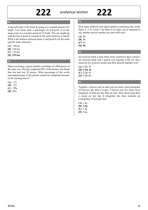# **222** analytical section **222**

#### **41.**

A bus left point A for point B, going at a constant speed of 45 kmph. Two hours later, a passenger car left point A on the same route at a constant speed of 75 kmph. The car caught up with the bus at point S, located on the route between A and B. What is the distance between point A and point S (on the route used by both vehicles)?

**(A)** 90 km

- **(B)** 150 km
- **(C)** 135 km
- **(D) 225 km**

**42.** 

Dana was doing a jigsaw puzzle consisting of 2,000 pieces of the same size. Having completed 80% of the picture, she found that she had lost 20 pieces. What percentage of the so-far uncompleted part of the picture cannot be completed because of the missing pieces?

**(A)** 1%

- **(B)** 2%
- **(C) 5%**
- **(D)** 20%

## **43.**

How many different four-digit numbers containing four of the digits 2, 3, 0, 8 and 5 are there if no digit can be repeated in any number and no number can start with zero?

**(A)** 40

**(B)** 48

**(C)** 64

**(D) 96** 

### **44.**

An exercise book is nine times more expensive than a pencil. An exercise book and a pencil cost together CZK 20. How much do two exercise books and three pencils together cost?

**(A)** CZK 36 **(B) CZK 42 (C)** CZK 45 **(D)** CZK 60

### **45.**

Together, a beaver and an otter eat two times more kilograms of food per day than a coypu. A beaver eats five times more kilograms of food per day than an otter. How much food does a coypu eat per day if altogether the three animals eat 6 kilograms of food per day?

**(A)** 1 kg **(B) 2 kg (C)** 3 kg **(D)** 4 kg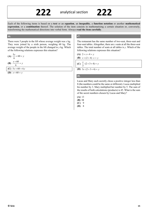Each of the following items is based on a **text** or an **equation**, an **inequality**, a **function notation** or another **mathematical expression**, or a **combination** thereof. The solution of the item consists in mathematising a certain situation or, conversely, transforming the mathematical directions into verbal form. Always **read the item carefully**.

#### **46.**

There were 5 people in the lift whose average weight was *x* kg. They were joined by a sixth person, weighing 60 kg. The average weight of the people in the lift changed to *y* kg. Which of the following relations expresses this situation?

(A) 
$$
\frac{5x}{6} + 60 = y
$$

$$
(B) \ \frac{x+60}{6} = y
$$

**(C)**  $5x + 60 = 6y$ 

**(D)**  $x + 60 = y$ 

### **47.**

The restaurant has the same number of two-seat, three-seat and four-seat tables. Altogether, there are *x* seats at all the three-seat tables. The total number of seats at all tables is *y*. Which of the following relations expresses this situation?

$$
(A) 2+x+4=y
$$

$$
(B) x + (2+4) \cdot x = y
$$

(C) 
$$
\frac{x}{3} \cdot (2+3+4) = y
$$

**(D)**  $3x \cdot (2 + 3 + 4) = y$ 

#### **48.**

Lucas and Mary each secretly chose a positive integer less than 8 (the numbers could be the same or different). Lucas multiplied his number by 3. Mary multiplied her number by 5. The sum of the results of both calculations (products) is 45. What is the sum of the secret numbers chosen by Lucas and Mary?

- **(A)** 13
- **(B) 11**
- **(C)** 9
- **(D)** 8